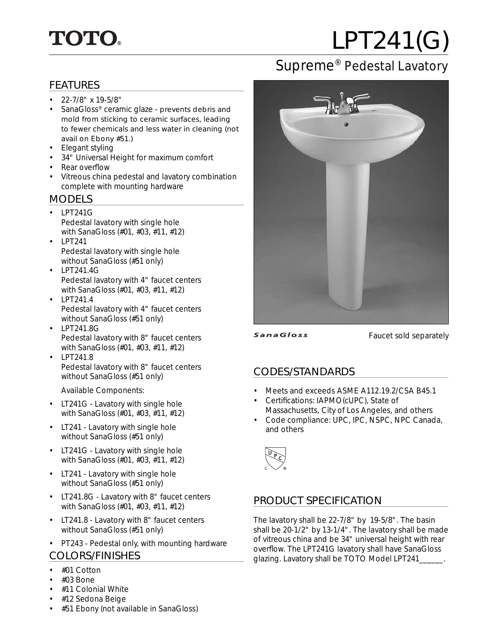# **TOTO.**

# LPT241(G)

## Supreme® Pedestal Lavatory

#### FEATURES

- $\cdot$  22-7/8" x 19-5/8"
- SanaGloss<sup>®</sup> ceramic glaze prevents debris and mold from sticking to ceramic surfaces, leading to fewer chemicals and less water in cleaning (not avail on Ebony #51.)
- Elegant styling
- 34" Universal Height for maximum comfort
- Rear overflow
- Vitreous china pedestal and lavatory combination complete with mounting hardware

#### MODELS

- LPT241G Pedestal lavatory with single hole with SanaGloss (#01, #03, #11, #12)
- LPT241 Pedestal lavatory with single hole without SanaGloss (#51 only)
- LPT241.4G Pedestal lavatory with 4" faucet centers with SanaGloss (#01, #03, #11, #12)
- LPT241.4 Pedestal lavatory with 4" faucet centers without SanaGloss (#51 only)
- LPT241.8G Pedestal lavatory with 8" faucet centers with SanaGloss (#01, #03, #11, #12)
- LPT241.8 Pedestal lavatory with 8" faucet centers without SanaGloss (#51 only)

Available Components:

- LT241G Lavatory with single hole with SanaGloss (#01, #03, #11, #12)
- LT241 Lavatory with single hole without SanaGloss (#51 only)
- LT241G Lavatory with single hole with SanaGloss (#01, #03, #11, #12)
- LT241 Lavatory with single hole without SanaGloss (#51 only)
- LT241.8G Lavatory with 8" faucet centers with SanaGloss (#01, #03, #11, #12)
- LT241.8 Lavatory with 8" faucet centers without SanaGloss (#51 only)
- PT243 Pedestal only, with mounting hardware

#### COLORS/FINISHES

- #01 Cotton
- $\cdot$  #03 Bone
- #11 Colonial White
- #12 Sedona Beige



**SanaGloss** 

Faucet sold separately

#### CODES/STANDARDS

- Meets and exceeds ASME A112.19.2/CSA B45.1
- Certifications: IAPMO(cUPC), State of Massachusetts, City of Los Angeles, and others
- Code compliance: UPC, IPC, NSPC, NPC Canada, and others



#### PRODUCT SPECIFICATION

The lavatory shall be 22-7/8" by 19-5/8". The basin shall be 20-1/2" by 13-1/4". The lavatory shall be made of vitreous china and be 34" universal height with rear overflow. The LPT241G lavatory shall have SanaGloss glazing. Lavatory shall be TOTO Model LPT241\_\_\_\_\_\_.

• #51 Ebony (not available in SanaGloss)